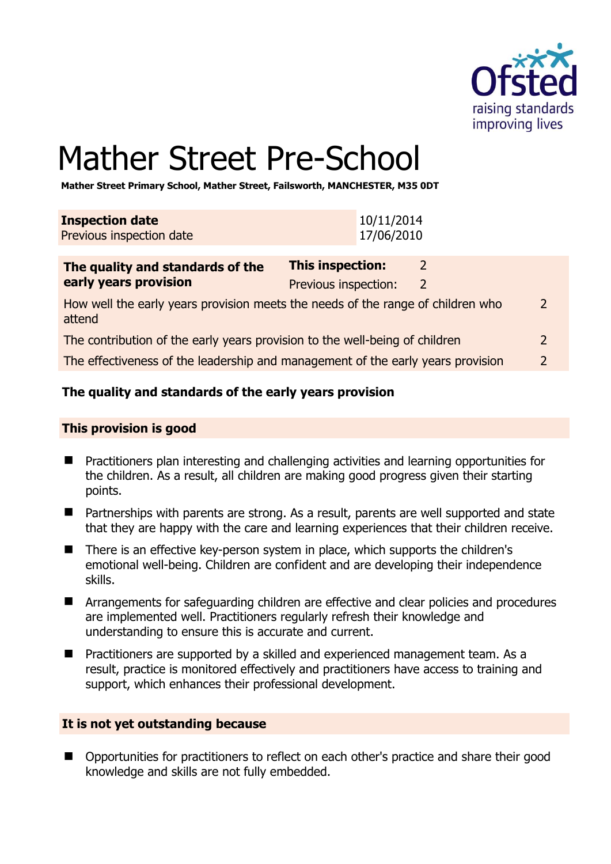

# Mather Street Pre-School

**Mather Street Primary School, Mather Street, Failsworth, MANCHESTER, M35 0DT** 

| This inspection:<br>The quality and standards of the |  |
|------------------------------------------------------|--|
|                                                      |  |
| 17/06/2010<br>Previous inspection date               |  |
| 10/11/2014<br><b>Inspection date</b>                 |  |

| The quality and standards of the                                                          | This inspection:     |   |               |
|-------------------------------------------------------------------------------------------|----------------------|---|---------------|
| early years provision                                                                     | Previous inspection: | 2 |               |
| How well the early years provision meets the needs of the range of children who<br>attend |                      |   | $\mathcal{L}$ |
| The contribution of the early years provision to the well-being of children               |                      |   |               |
| The effectiveness of the leadership and management of the early years provision           |                      |   |               |

# **The quality and standards of the early years provision**

#### **This provision is good**

- Practitioners plan interesting and challenging activities and learning opportunities for the children. As a result, all children are making good progress given their starting points.
- Partnerships with parents are strong. As a result, parents are well supported and state that they are happy with the care and learning experiences that their children receive.
- There is an effective key-person system in place, which supports the children's emotional well-being. Children are confident and are developing their independence skills.
- **E** Arrangements for safeguarding children are effective and clear policies and procedures are implemented well. Practitioners regularly refresh their knowledge and understanding to ensure this is accurate and current.
- **Practitioners are supported by a skilled and experienced management team. As a** result, practice is monitored effectively and practitioners have access to training and support, which enhances their professional development.

# **It is not yet outstanding because**

■ Opportunities for practitioners to reflect on each other's practice and share their good knowledge and skills are not fully embedded.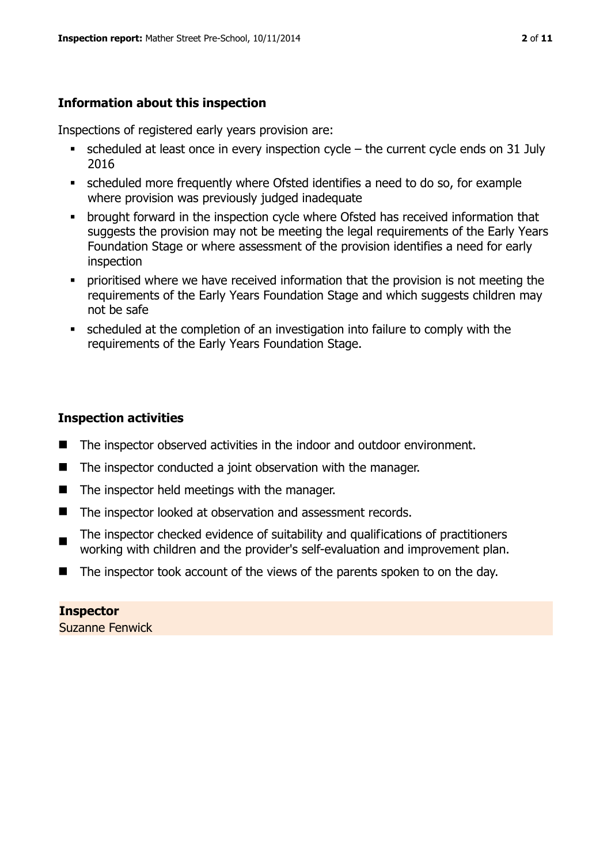# **Information about this inspection**

Inspections of registered early years provision are:

- scheduled at least once in every inspection cycle the current cycle ends on 31 July 2016
- scheduled more frequently where Ofsted identifies a need to do so, for example where provision was previously judged inadequate
- **•** brought forward in the inspection cycle where Ofsted has received information that suggests the provision may not be meeting the legal requirements of the Early Years Foundation Stage or where assessment of the provision identifies a need for early inspection
- **•** prioritised where we have received information that the provision is not meeting the requirements of the Early Years Foundation Stage and which suggests children may not be safe
- scheduled at the completion of an investigation into failure to comply with the requirements of the Early Years Foundation Stage.

# **Inspection activities**

- $\blacksquare$  The inspector observed activities in the indoor and outdoor environment.
- The inspector conducted a joint observation with the manager.
- $\blacksquare$  The inspector held meetings with the manager.
- The inspector looked at observation and assessment records.
- The inspector checked evidence of suitability and qualifications of practitioners working with children and the provider's self-evaluation and improvement plan.
- The inspector took account of the views of the parents spoken to on the day.

**Inspector**  Suzanne Fenwick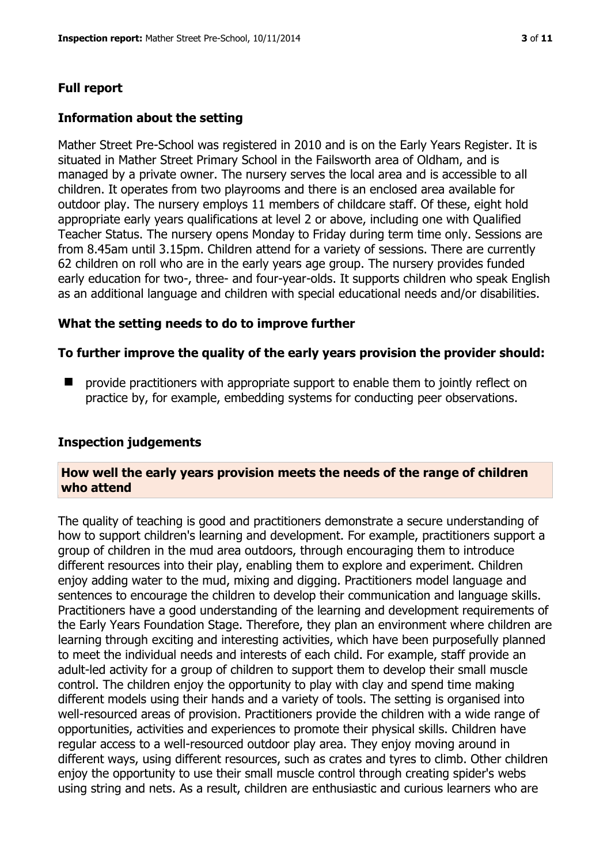# **Full report**

# **Information about the setting**

Mather Street Pre-School was registered in 2010 and is on the Early Years Register. It is situated in Mather Street Primary School in the Failsworth area of Oldham, and is managed by a private owner. The nursery serves the local area and is accessible to all children. It operates from two playrooms and there is an enclosed area available for outdoor play. The nursery employs 11 members of childcare staff. Of these, eight hold appropriate early years qualifications at level 2 or above, including one with Qualified Teacher Status. The nursery opens Monday to Friday during term time only. Sessions are from 8.45am until 3.15pm. Children attend for a variety of sessions. There are currently 62 children on roll who are in the early years age group. The nursery provides funded early education for two-, three- and four-year-olds. It supports children who speak English as an additional language and children with special educational needs and/or disabilities.

# **What the setting needs to do to improve further**

# **To further improve the quality of the early years provision the provider should:**

 $\blacksquare$  provide practitioners with appropriate support to enable them to jointly reflect on practice by, for example, embedding systems for conducting peer observations.

#### **Inspection judgements**

#### **How well the early years provision meets the needs of the range of children who attend**

The quality of teaching is good and practitioners demonstrate a secure understanding of how to support children's learning and development. For example, practitioners support a group of children in the mud area outdoors, through encouraging them to introduce different resources into their play, enabling them to explore and experiment. Children enjoy adding water to the mud, mixing and digging. Practitioners model language and sentences to encourage the children to develop their communication and language skills. Practitioners have a good understanding of the learning and development requirements of the Early Years Foundation Stage. Therefore, they plan an environment where children are learning through exciting and interesting activities, which have been purposefully planned to meet the individual needs and interests of each child. For example, staff provide an adult-led activity for a group of children to support them to develop their small muscle control. The children enjoy the opportunity to play with clay and spend time making different models using their hands and a variety of tools. The setting is organised into well-resourced areas of provision. Practitioners provide the children with a wide range of opportunities, activities and experiences to promote their physical skills. Children have regular access to a well-resourced outdoor play area. They enjoy moving around in different ways, using different resources, such as crates and tyres to climb. Other children enjoy the opportunity to use their small muscle control through creating spider's webs using string and nets. As a result, children are enthusiastic and curious learners who are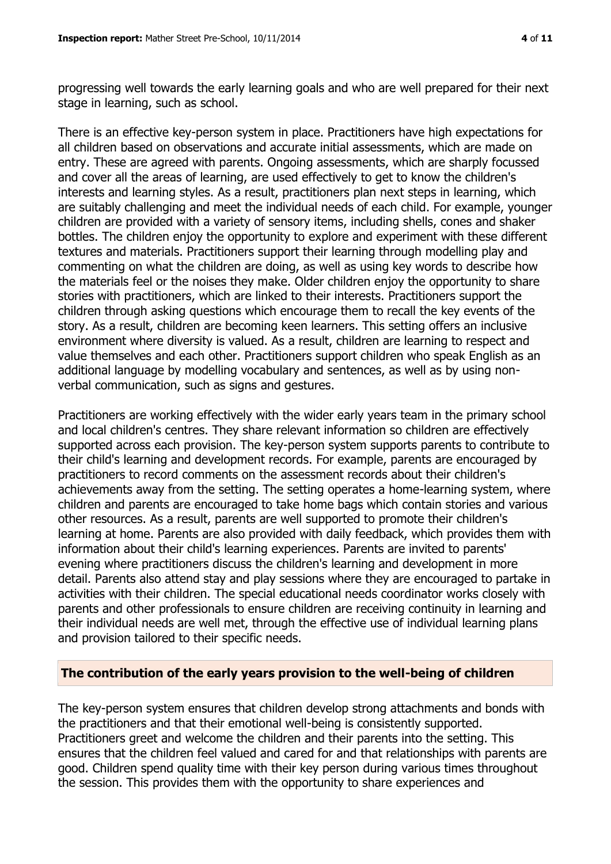progressing well towards the early learning goals and who are well prepared for their next stage in learning, such as school.

There is an effective key-person system in place. Practitioners have high expectations for all children based on observations and accurate initial assessments, which are made on entry. These are agreed with parents. Ongoing assessments, which are sharply focussed and cover all the areas of learning, are used effectively to get to know the children's interests and learning styles. As a result, practitioners plan next steps in learning, which are suitably challenging and meet the individual needs of each child. For example, younger children are provided with a variety of sensory items, including shells, cones and shaker bottles. The children enjoy the opportunity to explore and experiment with these different textures and materials. Practitioners support their learning through modelling play and commenting on what the children are doing, as well as using key words to describe how the materials feel or the noises they make. Older children enjoy the opportunity to share stories with practitioners, which are linked to their interests. Practitioners support the children through asking questions which encourage them to recall the key events of the story. As a result, children are becoming keen learners. This setting offers an inclusive environment where diversity is valued. As a result, children are learning to respect and value themselves and each other. Practitioners support children who speak English as an additional language by modelling vocabulary and sentences, as well as by using nonverbal communication, such as signs and gestures.

Practitioners are working effectively with the wider early years team in the primary school and local children's centres. They share relevant information so children are effectively supported across each provision. The key-person system supports parents to contribute to their child's learning and development records. For example, parents are encouraged by practitioners to record comments on the assessment records about their children's achievements away from the setting. The setting operates a home-learning system, where children and parents are encouraged to take home bags which contain stories and various other resources. As a result, parents are well supported to promote their children's learning at home. Parents are also provided with daily feedback, which provides them with information about their child's learning experiences. Parents are invited to parents' evening where practitioners discuss the children's learning and development in more detail. Parents also attend stay and play sessions where they are encouraged to partake in activities with their children. The special educational needs coordinator works closely with parents and other professionals to ensure children are receiving continuity in learning and their individual needs are well met, through the effective use of individual learning plans and provision tailored to their specific needs.

#### **The contribution of the early years provision to the well-being of children**

The key-person system ensures that children develop strong attachments and bonds with the practitioners and that their emotional well-being is consistently supported. Practitioners greet and welcome the children and their parents into the setting. This ensures that the children feel valued and cared for and that relationships with parents are good. Children spend quality time with their key person during various times throughout the session. This provides them with the opportunity to share experiences and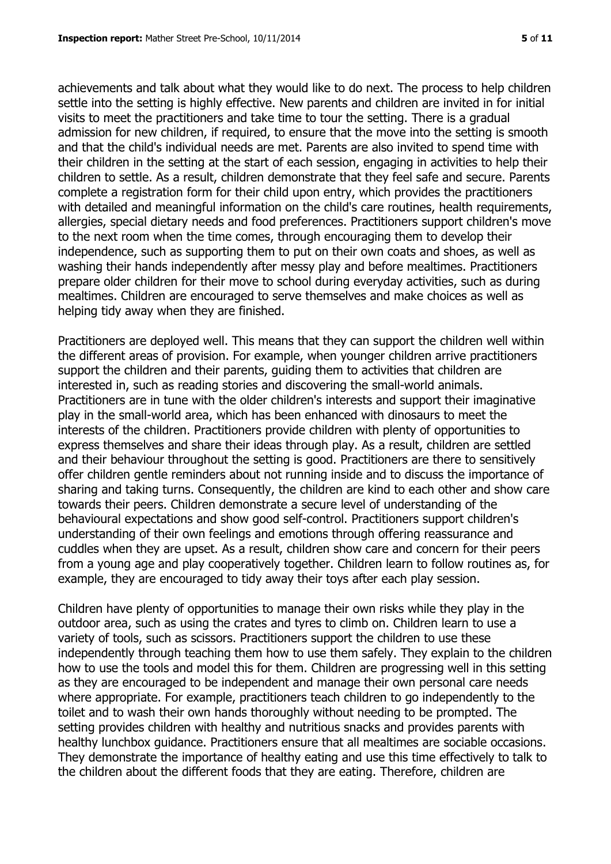achievements and talk about what they would like to do next. The process to help children settle into the setting is highly effective. New parents and children are invited in for initial visits to meet the practitioners and take time to tour the setting. There is a gradual admission for new children, if required, to ensure that the move into the setting is smooth and that the child's individual needs are met. Parents are also invited to spend time with their children in the setting at the start of each session, engaging in activities to help their children to settle. As a result, children demonstrate that they feel safe and secure. Parents complete a registration form for their child upon entry, which provides the practitioners with detailed and meaningful information on the child's care routines, health requirements, allergies, special dietary needs and food preferences. Practitioners support children's move to the next room when the time comes, through encouraging them to develop their independence, such as supporting them to put on their own coats and shoes, as well as washing their hands independently after messy play and before mealtimes. Practitioners prepare older children for their move to school during everyday activities, such as during mealtimes. Children are encouraged to serve themselves and make choices as well as helping tidy away when they are finished.

Practitioners are deployed well. This means that they can support the children well within the different areas of provision. For example, when younger children arrive practitioners support the children and their parents, guiding them to activities that children are interested in, such as reading stories and discovering the small-world animals. Practitioners are in tune with the older children's interests and support their imaginative play in the small-world area, which has been enhanced with dinosaurs to meet the interests of the children. Practitioners provide children with plenty of opportunities to express themselves and share their ideas through play. As a result, children are settled and their behaviour throughout the setting is good. Practitioners are there to sensitively offer children gentle reminders about not running inside and to discuss the importance of sharing and taking turns. Consequently, the children are kind to each other and show care towards their peers. Children demonstrate a secure level of understanding of the behavioural expectations and show good self-control. Practitioners support children's understanding of their own feelings and emotions through offering reassurance and cuddles when they are upset. As a result, children show care and concern for their peers from a young age and play cooperatively together. Children learn to follow routines as, for example, they are encouraged to tidy away their toys after each play session.

Children have plenty of opportunities to manage their own risks while they play in the outdoor area, such as using the crates and tyres to climb on. Children learn to use a variety of tools, such as scissors. Practitioners support the children to use these independently through teaching them how to use them safely. They explain to the children how to use the tools and model this for them. Children are progressing well in this setting as they are encouraged to be independent and manage their own personal care needs where appropriate. For example, practitioners teach children to go independently to the toilet and to wash their own hands thoroughly without needing to be prompted. The setting provides children with healthy and nutritious snacks and provides parents with healthy lunchbox guidance. Practitioners ensure that all mealtimes are sociable occasions. They demonstrate the importance of healthy eating and use this time effectively to talk to the children about the different foods that they are eating. Therefore, children are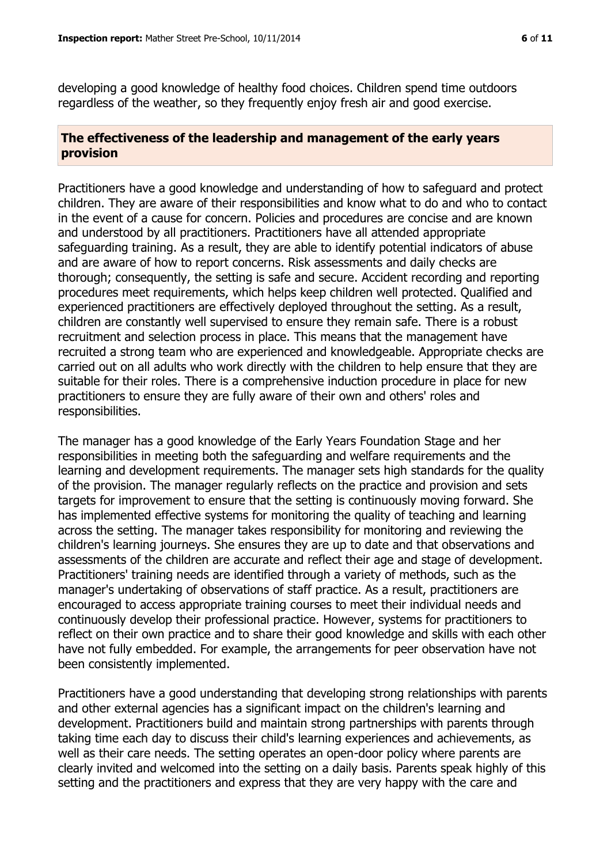developing a good knowledge of healthy food choices. Children spend time outdoors regardless of the weather, so they frequently enjoy fresh air and good exercise.

# **The effectiveness of the leadership and management of the early years provision**

Practitioners have a good knowledge and understanding of how to safeguard and protect children. They are aware of their responsibilities and know what to do and who to contact in the event of a cause for concern. Policies and procedures are concise and are known and understood by all practitioners. Practitioners have all attended appropriate safeguarding training. As a result, they are able to identify potential indicators of abuse and are aware of how to report concerns. Risk assessments and daily checks are thorough; consequently, the setting is safe and secure. Accident recording and reporting procedures meet requirements, which helps keep children well protected. Qualified and experienced practitioners are effectively deployed throughout the setting. As a result, children are constantly well supervised to ensure they remain safe. There is a robust recruitment and selection process in place. This means that the management have recruited a strong team who are experienced and knowledgeable. Appropriate checks are carried out on all adults who work directly with the children to help ensure that they are suitable for their roles. There is a comprehensive induction procedure in place for new practitioners to ensure they are fully aware of their own and others' roles and responsibilities.

The manager has a good knowledge of the Early Years Foundation Stage and her responsibilities in meeting both the safeguarding and welfare requirements and the learning and development requirements. The manager sets high standards for the quality of the provision. The manager regularly reflects on the practice and provision and sets targets for improvement to ensure that the setting is continuously moving forward. She has implemented effective systems for monitoring the quality of teaching and learning across the setting. The manager takes responsibility for monitoring and reviewing the children's learning journeys. She ensures they are up to date and that observations and assessments of the children are accurate and reflect their age and stage of development. Practitioners' training needs are identified through a variety of methods, such as the manager's undertaking of observations of staff practice. As a result, practitioners are encouraged to access appropriate training courses to meet their individual needs and continuously develop their professional practice. However, systems for practitioners to reflect on their own practice and to share their good knowledge and skills with each other have not fully embedded. For example, the arrangements for peer observation have not been consistently implemented.

Practitioners have a good understanding that developing strong relationships with parents and other external agencies has a significant impact on the children's learning and development. Practitioners build and maintain strong partnerships with parents through taking time each day to discuss their child's learning experiences and achievements, as well as their care needs. The setting operates an open-door policy where parents are clearly invited and welcomed into the setting on a daily basis. Parents speak highly of this setting and the practitioners and express that they are very happy with the care and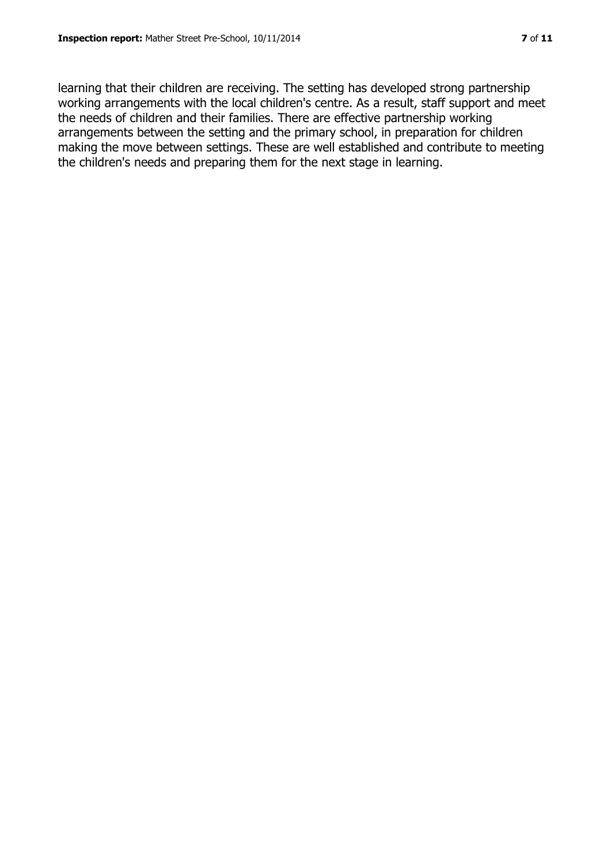learning that their children are receiving. The setting has developed strong partnership working arrangements with the local children's centre. As a result, staff support and meet the needs of children and their families. There are effective partnership working arrangements between the setting and the primary school, in preparation for children making the move between settings. These are well established and contribute to meeting the children's needs and preparing them for the next stage in learning.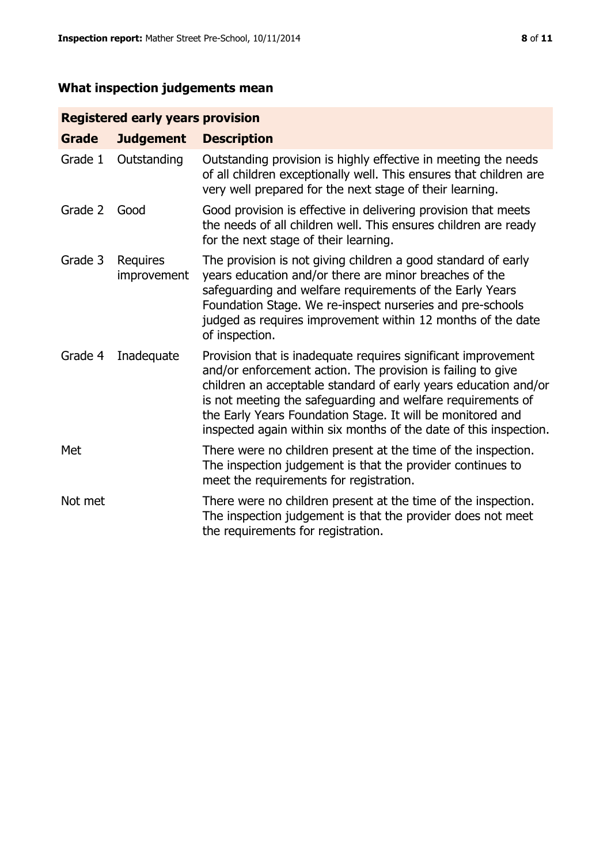# **What inspection judgements mean**

# **Registered early years provision**

| <b>Grade</b> | <b>Judgement</b>        | <b>Description</b>                                                                                                                                                                                                                                                                                                                                                                                |
|--------------|-------------------------|---------------------------------------------------------------------------------------------------------------------------------------------------------------------------------------------------------------------------------------------------------------------------------------------------------------------------------------------------------------------------------------------------|
| Grade 1      | Outstanding             | Outstanding provision is highly effective in meeting the needs<br>of all children exceptionally well. This ensures that children are<br>very well prepared for the next stage of their learning.                                                                                                                                                                                                  |
| Grade 2      | Good                    | Good provision is effective in delivering provision that meets<br>the needs of all children well. This ensures children are ready<br>for the next stage of their learning.                                                                                                                                                                                                                        |
| Grade 3      | Requires<br>improvement | The provision is not giving children a good standard of early<br>years education and/or there are minor breaches of the<br>safeguarding and welfare requirements of the Early Years<br>Foundation Stage. We re-inspect nurseries and pre-schools<br>judged as requires improvement within 12 months of the date<br>of inspection.                                                                 |
| Grade 4      | Inadequate              | Provision that is inadequate requires significant improvement<br>and/or enforcement action. The provision is failing to give<br>children an acceptable standard of early years education and/or<br>is not meeting the safeguarding and welfare requirements of<br>the Early Years Foundation Stage. It will be monitored and<br>inspected again within six months of the date of this inspection. |
| Met          |                         | There were no children present at the time of the inspection.<br>The inspection judgement is that the provider continues to<br>meet the requirements for registration.                                                                                                                                                                                                                            |
| Not met      |                         | There were no children present at the time of the inspection.<br>The inspection judgement is that the provider does not meet<br>the requirements for registration.                                                                                                                                                                                                                                |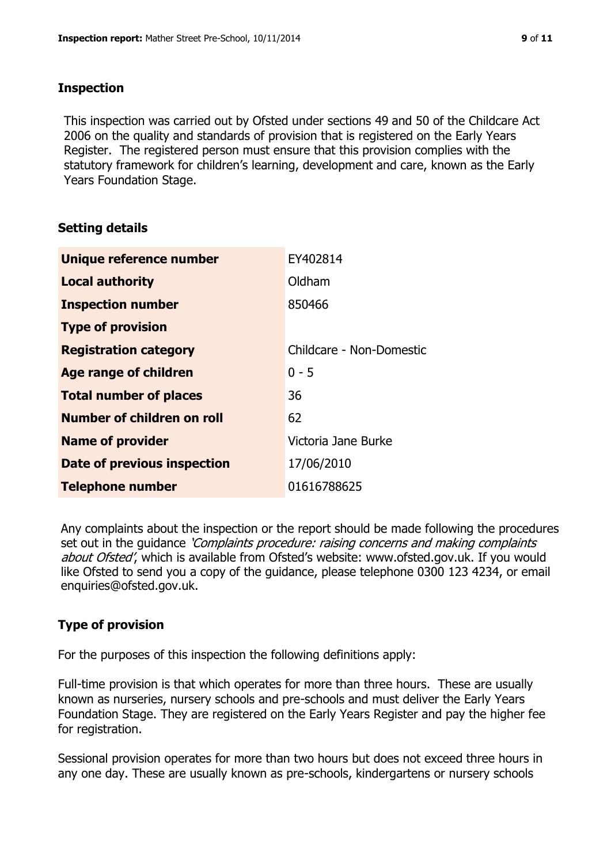# **Inspection**

This inspection was carried out by Ofsted under sections 49 and 50 of the Childcare Act 2006 on the quality and standards of provision that is registered on the Early Years Register. The registered person must ensure that this provision complies with the statutory framework for children's learning, development and care, known as the Early Years Foundation Stage.

# **Setting details**

| Unique reference number       | EY402814                 |
|-------------------------------|--------------------------|
| <b>Local authority</b>        | Oldham                   |
| <b>Inspection number</b>      | 850466                   |
| <b>Type of provision</b>      |                          |
| <b>Registration category</b>  | Childcare - Non-Domestic |
| <b>Age range of children</b>  | $0 - 5$                  |
| <b>Total number of places</b> | 36                       |
| Number of children on roll    | 62                       |
| <b>Name of provider</b>       | Victoria Jane Burke      |
| Date of previous inspection   | 17/06/2010               |
| <b>Telephone number</b>       | 01616788625              |

Any complaints about the inspection or the report should be made following the procedures set out in the guidance *'Complaints procedure: raising concerns and making complaints* about Ofsted', which is available from Ofsted's website: www.ofsted.gov.uk. If you would like Ofsted to send you a copy of the guidance, please telephone 0300 123 4234, or email enquiries@ofsted.gov.uk.

# **Type of provision**

For the purposes of this inspection the following definitions apply:

Full-time provision is that which operates for more than three hours. These are usually known as nurseries, nursery schools and pre-schools and must deliver the Early Years Foundation Stage. They are registered on the Early Years Register and pay the higher fee for registration.

Sessional provision operates for more than two hours but does not exceed three hours in any one day. These are usually known as pre-schools, kindergartens or nursery schools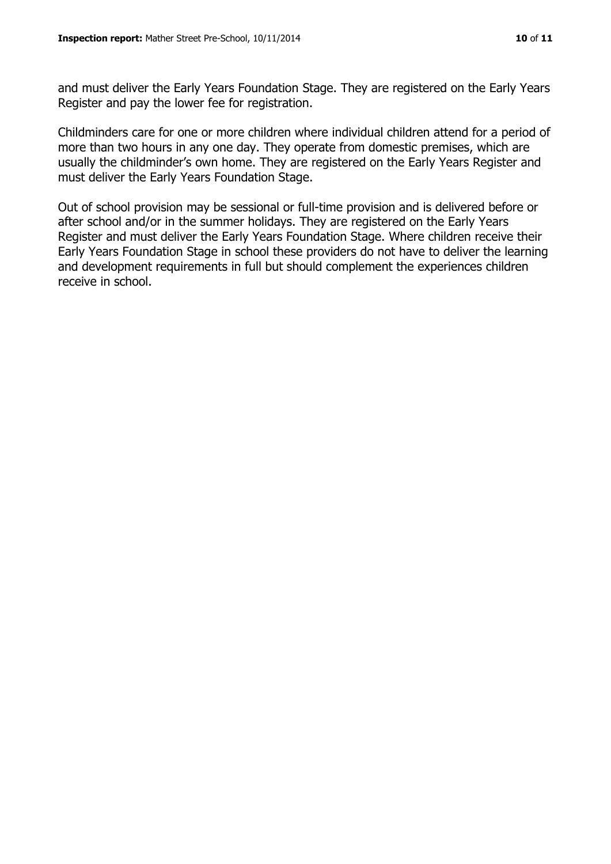and must deliver the Early Years Foundation Stage. They are registered on the Early Years Register and pay the lower fee for registration.

Childminders care for one or more children where individual children attend for a period of more than two hours in any one day. They operate from domestic premises, which are usually the childminder's own home. They are registered on the Early Years Register and must deliver the Early Years Foundation Stage.

Out of school provision may be sessional or full-time provision and is delivered before or after school and/or in the summer holidays. They are registered on the Early Years Register and must deliver the Early Years Foundation Stage. Where children receive their Early Years Foundation Stage in school these providers do not have to deliver the learning and development requirements in full but should complement the experiences children receive in school.